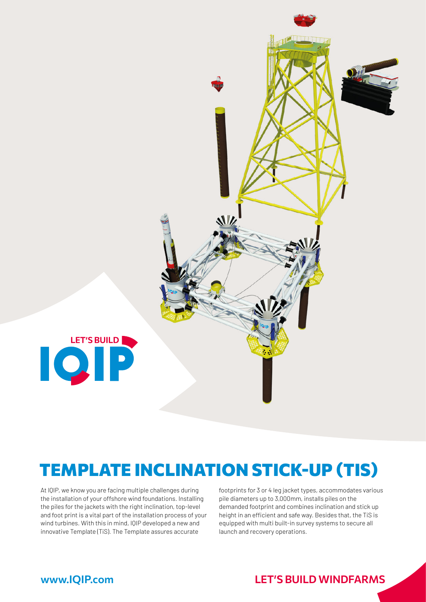

# TEMPLATE INCLINATION STICK-UP (TIS)

At IQIP, we know you are facing multiple challenges during the installation of your offshore wind foundations. Installing the piles for the jackets with the right inclination, top-level and foot print is a vital part of the installation process of your wind turbines. With this in mind, IQIP developed a new and innovative Template (TiS). The Template assures accurate

footprints for 3 or 4 leg jacket types, accommodates various pile diameters up to 3,000mm, installs piles on the demanded footprint and combines inclination and stick up height in an efficient and safe way. Besides that, the TiS is equipped with multi built-in survey systems to secure all launch and recovery operations.

### www.IQIP.com LET**'**S BUILD WINDFARMS